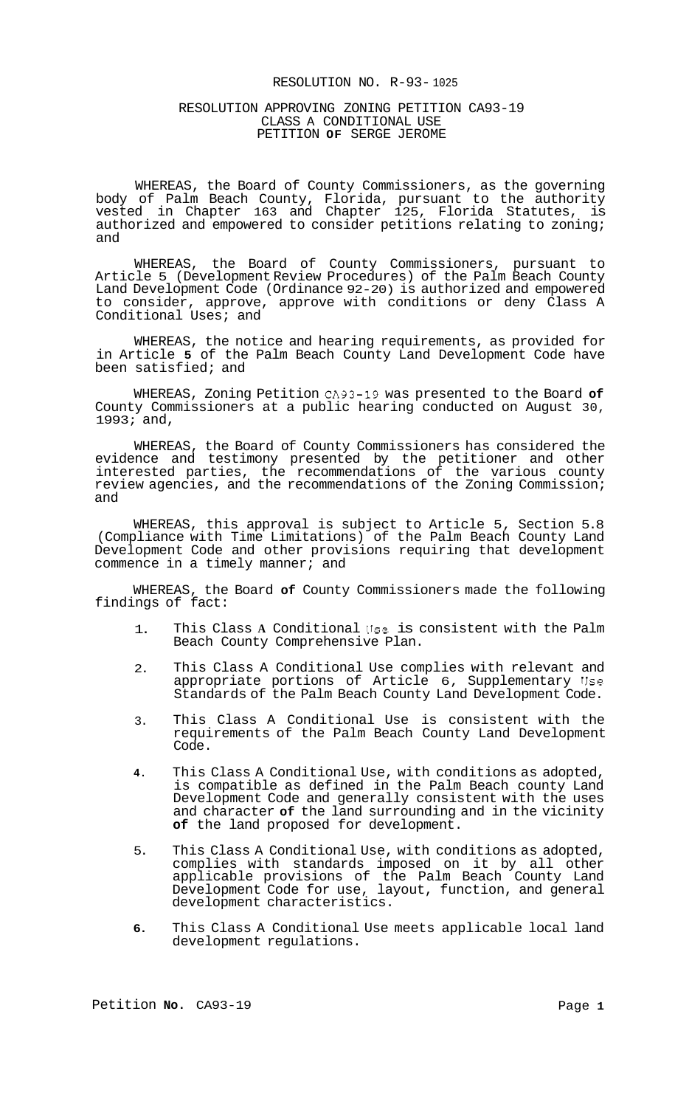## RESOLUTION NO. R-93- 1025

#### RESOLUTION APPROVING ZONING PETITION CA93-19 CLASS A CONDITIONAL USE PETITION **OF** SERGE JEROME

WHEREAS, the Board of County Commissioners, as the governing body of Palm Beach County, Florida, pursuant to the authority vested in Chapter 163 and Chapter 125, Florida Statutes, is authorized and empowered to consider petitions relating to zoning; and

WHEREAS, the Board of County Commissioners, pursuant to Article 5 (Development Review Procedures) of the Palm Beach County Land Development Code (Ordinance 92-20) is authorized and empowered to consider, approve, approve with conditions or deny Class A Conditional Uses; and

WHEREAS, the notice and hearing requirements, as provided for in Article **5** of the Palm Beach County Land Development Code have been satisfied; and

WHEREAS, Zoning Petition CA33-19 was presented to the Board **of**  County Commissioners at a public hearing conducted on August 30, 1993; and,

WHEREAS, the Board of County Commissioners has considered the evidence and testimony presented by the petitioner and other interested parties, the recommendations of the various county review agencies, and the recommendations of the Zoning Commission; and

WHEREAS, this approval is subject to Article 5, Section 5.8 (Compliance with Time Limitations) of the Palm Beach County Land Development Code and other provisions requiring that development commence in a timely manner; and

WHEREAS, the Board **of** County Commissioners made the following findings of fact:

- 1. This Class **A** Conditional Use is consistent with the Palm Beach County Comprehensive Plan.
- 2. This Class A Conditional Use complies with relevant and appropriate portions of Article 6, Supplementary Use Standards of the Palm Beach County Land Development Code.
- 3. This Class A Conditional Use is consistent with the requirements of the Palm Beach County Land Development Code.
- **4.**  This Class A Conditional Use, with conditions as adopted, is compatible as defined in the Palm Beach county Land Development Code and generally consistent with the uses and character **of** the land surrounding and in the vicinity **of** the land proposed for development.
- 5. This Class A Conditional Use, with conditions as adopted, complies with standards imposed on it by all other applicable provisions of the Palm Beach County Land Development Code for use, layout, function, and general development characteristics.
- **6.**  This Class A Conditional Use meets applicable local land development regulations.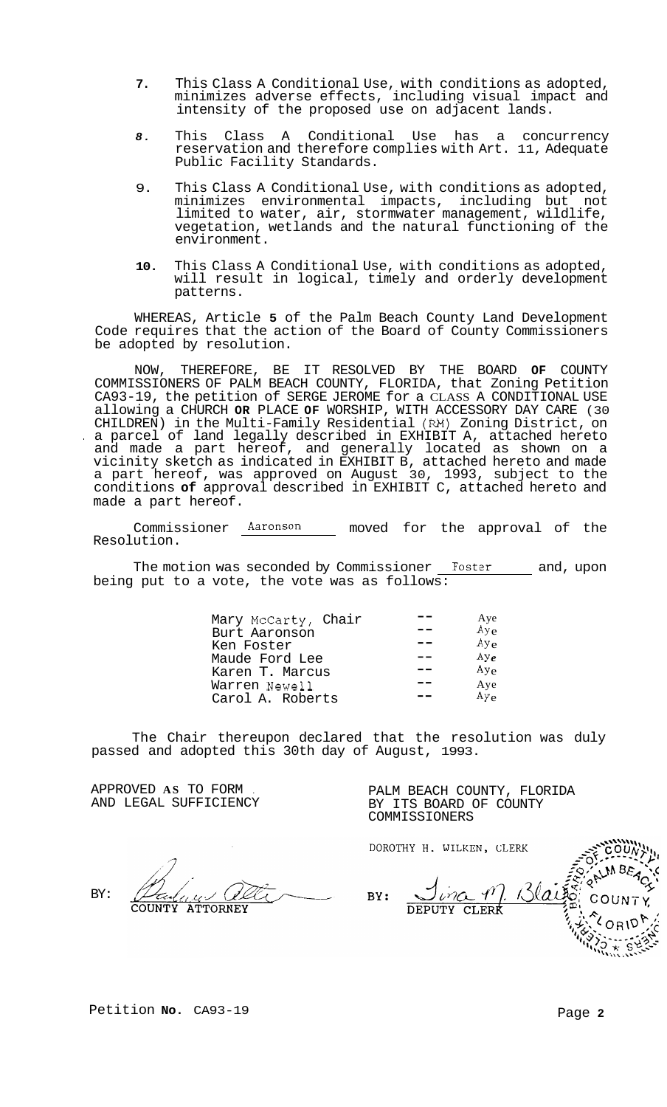- **7.** This Class A Conditional Use, with conditions as adopted, minimizes adverse effects, including visual impact and intensity of the proposed use on adjacent lands.
- *8.* This Class A Conditional Use has a concurrency reservation and therefore complies with Art. 11, Adequate Public Facility Standards.
- 9. This Class A Conditional Use, with conditions as adopted, minimizes environmental impacts, including but not limited to water, air, stormwater management, wildlife, vegetation, wetlands and the natural functioning of the environment.
- **10.** This Class A Conditional Use, with conditions as adopted, will result in logical, timely and orderly development patterns.

WHEREAS, Article **5** of the Palm Beach County Land Development Code requires that the action of the Board of County Commissioners be adopted by resolution.

NOW, THEREFORE, BE IT RESOLVED BY THE BOARD **OF** COUNTY COMMISSIONERS OF PALM BEACH COUNTY, FLORIDA, that Zoning Petition CA93-19, the petition of SERGE JEROME for a CLASS A CONDITIONAL USE allowing a CHURCH **OR** PLACE **OF** WORSHIP, WITH ACCESSORY DAY CARE (30 CHILDREN) in the Multi-Family Residential (RM) Zoning District, on . a parcel of land legally described in EXHIBIT A, attached hereto and made a part hereof, and generally located as shown on a vicinity sketch as indicated in EXHIBIT B, attached hereto and made a part hereof, was approved on August 30, 1993, subject to the conditions **of** approval described in EXHIBIT C, attached hereto and made a part hereof.

Commissioner Aaronson \_ moved for the approval of the Resolution.

The motion was seconded by Commissioner <u>Foster and</u>, upon being put to a vote, the vote was as follows:

| Mary McCarty, Chair | Aye<br>Aye       |
|---------------------|------------------|
| Burt Aaronson       |                  |
| Ken Foster          | Ay <sub>e</sub>  |
| Maude Ford Lee      | Avg <sub>e</sub> |
| Karen T. Marcus     | Ay <sub>e</sub>  |
| Warren Newell       | Aye              |
| Carol A. Roberts    | Ay <sub>e</sub>  |
|                     |                  |

The Chair thereupon declared that the resolution was duly passed and adopted this 30th day of August, 1993.

APPROVED **AS** TO FORM . AND LEGAL SUFFICIENCY

BY: **ATTORNEY** 

PALM BEACH COUNTY, FLORIDA BY ITS BOARD OF COUNTY COMMISSIONERS

DOROTHY H. WILKEN, CLERK

 $\iota\eta\alpha$ BY: DEPUTY CLERK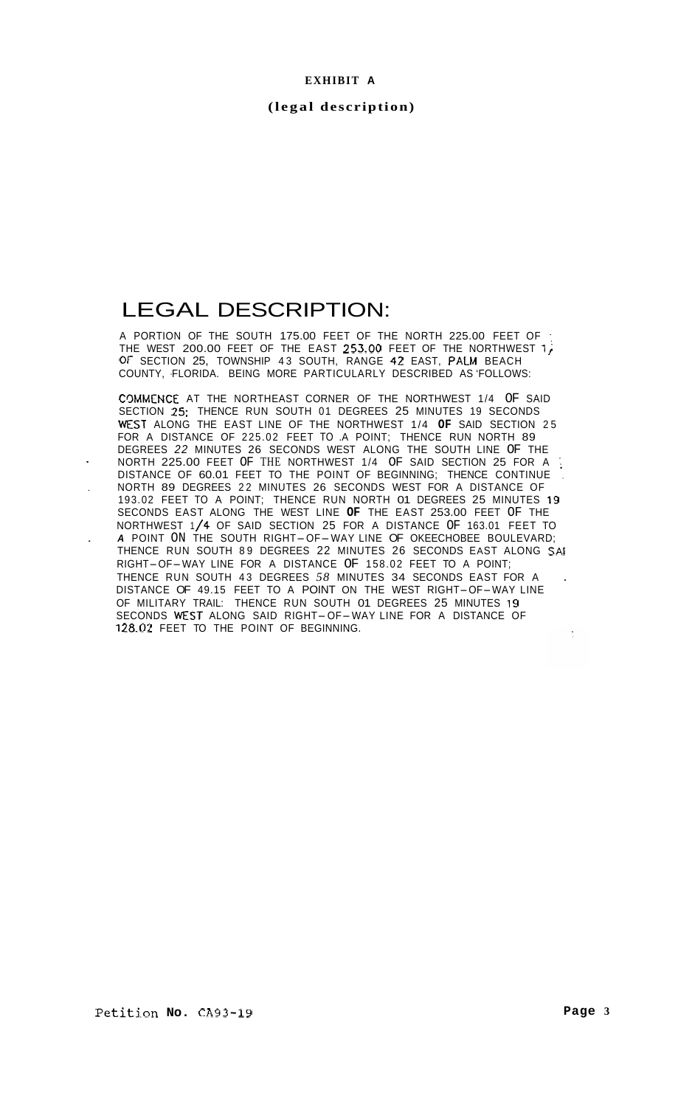# **EXHIBIT A**

**(legal description)** 

# LEGAL DESCRIPTION:

A PORTION OF THE SOUTH 175.00 FEET OF THE NORTH 225.00 FEET OF ; THE WEST 200.00 FEET OF THE EAST  $253.00$  FEET OF THE NORTHWEST  $\mathbf{1}_{\mathbb{I}}$ OF SECTION 25, TOWNSHIP 43 SOUTH, RANGE 42 EAST, PALM BEACH COUNTY, FLORIDA. BEING MORE PARTICULARLY DESCRIBED AS FOLLOWS:

C3MMENCE AT THE NORTHEAST CORNER OF THE NORTHWEST 1/4 OF SAID SECTION 25; THENCE RUN SOUTH 01 DEGREES 25 MINUTES 19 SECONDS WEST ALONG THE EAST LINE OF THE NORTHWEST 1/4 **OF** SAID SECTION 25 FOR A DISTANCE OF 225.02 FEET TO .A POINT; THENCE RUN NORTH 89 DEGREES *22* MINUTES 26 SECONDS WEST ALONG THE SOUTH LINE OF THE ~ NORTH 225.00 FEET OF THE NORTHWEST 1/4 OF SAID SECTION 25 FOR A DISTANCE OF 60.01 FEET TO THE POINT OF BEGINNING; THENCE CONTINUE . NORTH 89 DEGREES 22 MINUTES 26 SECONDS WEST FOR A DISTANCE OF 193.02 FEET TO A POINT; THENCE RUN NORTH 01 DEGREES 25 MINUTES 19 SECONDS EAST ALONG THE WEST LINE **OF** THE EAST 253.00 FEET OF THE NORTHWEST 1 **/4** OF SAID SECTION 25 FOR A DISTANCE OF 163.01 FEET TO . *A* POINT ON THE SOUTH RIGHT-OF-WAY LINE OF OKEECHOBEE BOULEVARD; THENCE RUN SOUTH 89 DEGREES 22 MINUTES 26 SECONDS EAST ALONG SA1 RIGHT-OF-WAY LINE FOR A DISTANCE OF 158.02 FEET TO A POINT; THENCE RUN SOUTH 43 DEGREES 58 MINUTES 34 SECONDS EAST FOR A DISTANCE OF 49.15 FEET TO A POINT ON THE WEST RIGHT-OF-WAY LINE OF MILITARY TRAIL: THENCE RUN SOUTH 01 DEGREES 25 MINUTES 19 128.02 FEET TO THE POINT OF BEGINNING. SECONDS WEST ALONG SAID RIGHT-OF-WAY LINE FOR A DISTANCE OF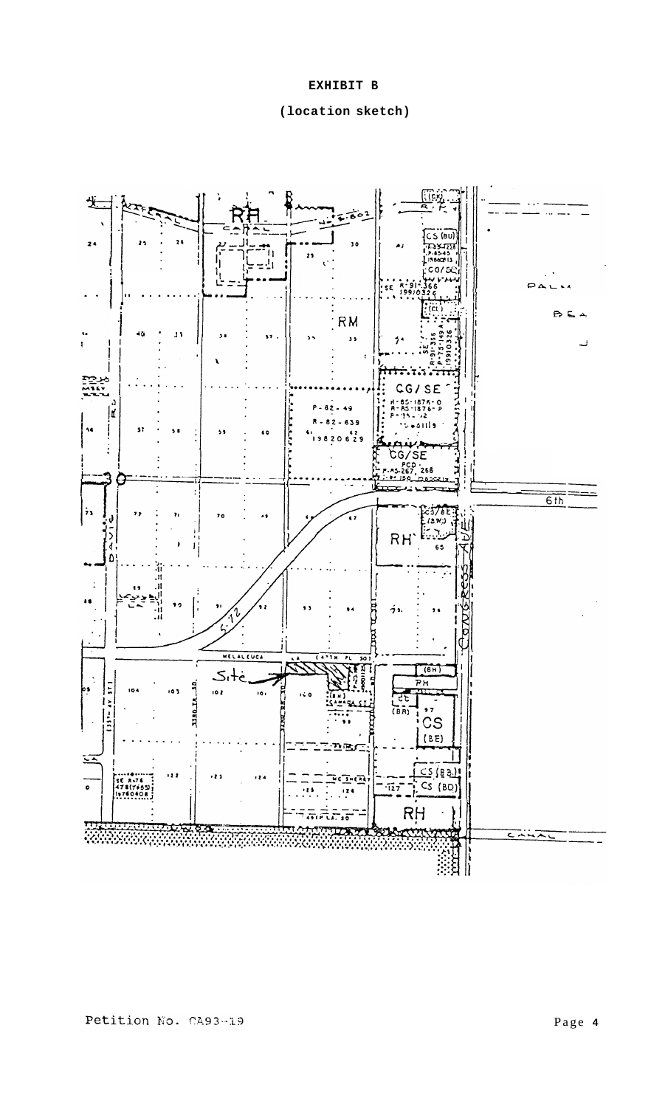EXHIBIT B



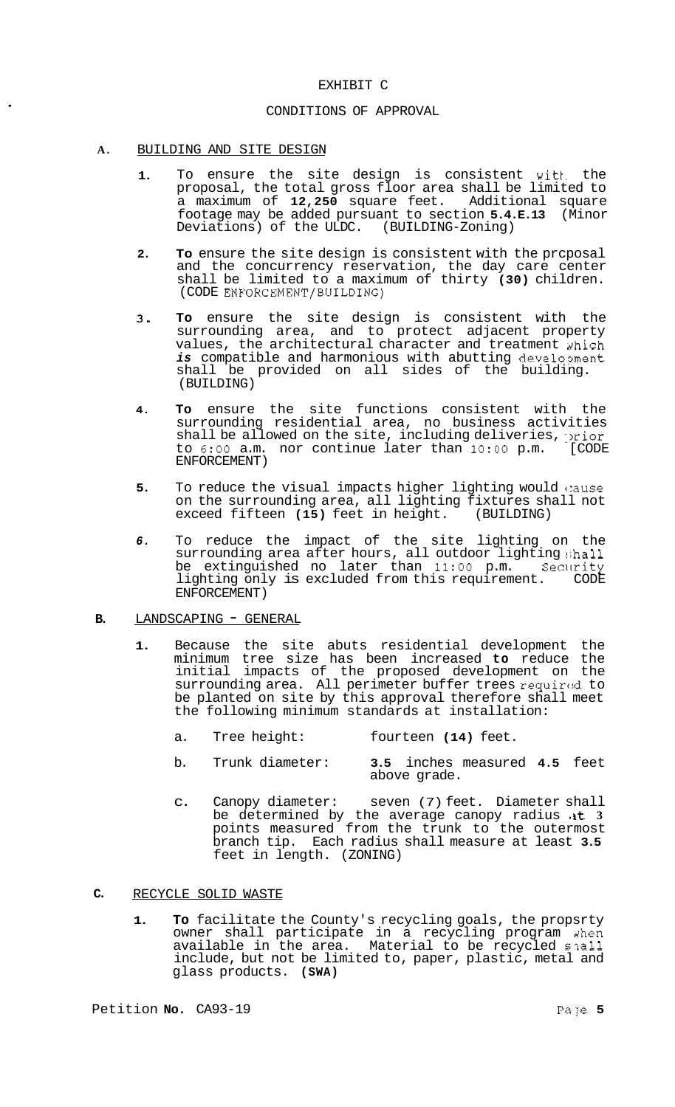#### EXHIBIT C

# CONDITIONS OF APPROVAL

#### **A.** BUILDING AND SITE DESIGN

- **1.**  To ensure the site design is consistent witk. the proposal, the total gross floor area shall be limited to<br>a maximum of 12,250 square feet. Additional square a maximum of 12,250 square feet. footage may be added pursuant to section **5.4.E.13** (Minor Deviations) of the ULDC. (BUILDING-Zoning)
- **2. To** ensure the site design is consistent with the prcposal and the concurrency reservation, the day care center shall be limited to a maximum of thirty **(30)** children. (CODE ENFORCEMENT/BUILDING)
- **3. To** ensure the site design is consistent with the surrounding area, and to protect adjacent property values, the architectural character and treatment which is compatible and harmonious with abutting development shall be provided on all sides of the building. (BUILDING)
- **4. To** ensure the site functions consistent with the surrounding residential area, no business activities shall be allowed on the site, including deliveries,  $\gamma$ ior<br>to 6:00 a.m. nor continue later than 10:00 p.m. [CODE to 6:00 a.m. nor continue later than 10:00 p.m. ENFORCEMENT)
- **5.**  To reduce the visual impacts higher lighting would cause on the surrounding area, all lighting fixtures shall not exceed fifteen (15) feet in height. (BUILDING) exceed fifteen (15) feet in height.
- *6.*  To reduce the impact of the site lighting on the surrounding area after hours, all outdoor lighting shall be extinguished no later than **11:OO** p.m. Secllrity lighting only is excluded from this requirement. CODE ENFORCEMENT)

# **B.** LANDSCAPING - GENERAL

- **1.** Because the site abuts residential development the minimum tree size has been increased **to** reduce the initial impacts of the proposed development on the surrounding area. All perimeter buffer trees required to be planted on site by this approval therefore shall meet the following minimum standards at installation:
	- a. Tree height: fourteen **(14)** feet.
	- b. Trunk diameter: **3.5** inches measured **4.5** feet above grade.
	- c. Canopy diameter: seven (7) feet. Diameter shall be determined by the average canopy radius it 3 points measured from the trunk to the outermost branch tip. Each radius shall measure at least **3.5**  feet in length. (ZONING)
- **C.** RECYCLE SOLID WASTE
	- **1. To** facilitate the County's recycling goals, the propsrty owner shall participate in a recycling program when available in the area. Material to be recycled shall include, but not be limited to, paper, plastic, metal and glass products. **(SWA)**